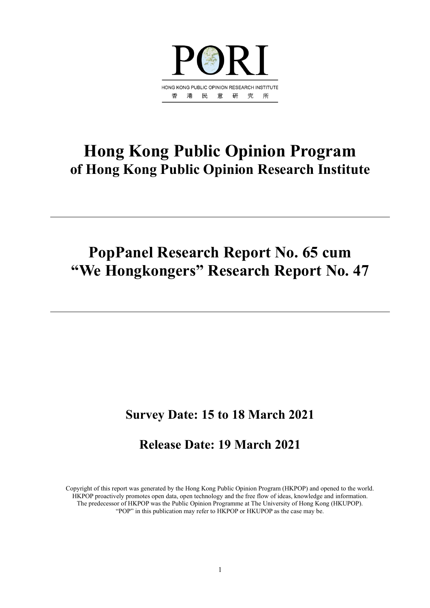

## **Hong Kong Public Opinion Program of Hong Kong Public Opinion Research Institute**

## **PopPanel Research Report No. 65 cum "We Hongkongers" Research Report No. 47**

## **Survey Date: 15 to 18 March 2021**

## **Release Date: 19 March 2021**

Copyright of this report was generated by the Hong Kong Public Opinion Program (HKPOP) and opened to the world. HKPOP proactively promotes open data, open technology and the free flow of ideas, knowledge and information. The predecessor of HKPOP was the Public Opinion Programme at The University of Hong Kong (HKUPOP). "POP" in this publication may refer to HKPOP or HKUPOP as the case may be.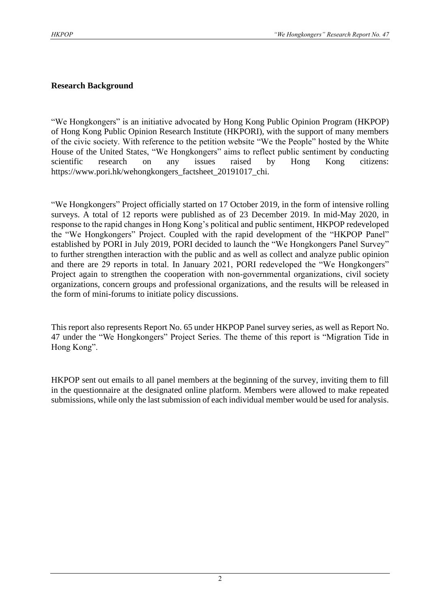#### **Research Background**

"We Hongkongers" is an initiative advocated by Hong Kong Public Opinion Program (HKPOP) of Hong Kong Public Opinion Research Institute (HKPORI), with the support of many members of the civic society. With reference to the petition website "We the People" hosted by the White House of the United States, "We Hongkongers" aims to reflect public sentiment by conducting scientific research on any issues raised by Hong Kong citizens: https://www.pori.hk/wehongkongers\_factsheet\_20191017\_chi.

"We Hongkongers" Project officially started on 17 October 2019, in the form of intensive rolling surveys. A total of 12 reports were published as of 23 December 2019. In mid-May 2020, in response to the rapid changes in Hong Kong's political and public sentiment, HKPOP redeveloped the "We Hongkongers" Project. Coupled with the rapid development of the "HKPOP Panel" established by PORI in July 2019, PORI decided to launch the "We Hongkongers Panel Survey" to further strengthen interaction with the public and as well as collect and analyze public opinion and there are 29 reports in total. In January 2021, PORI redeveloped the "We Hongkongers" Project again to strengthen the cooperation with non-governmental organizations, civil society organizations, concern groups and professional organizations, and the results will be released in the form of mini-forums to initiate policy discussions.

This report also represents Report No. 65 under HKPOP Panel survey series, as well as Report No. 47 under the "We Hongkongers" Project Series. The theme of this report is "Migration Tide in Hong Kong".

HKPOP sent out emails to all panel members at the beginning of the survey, inviting them to fill in the questionnaire at the designated online platform. Members were allowed to make repeated submissions, while only the last submission of each individual member would be used for analysis.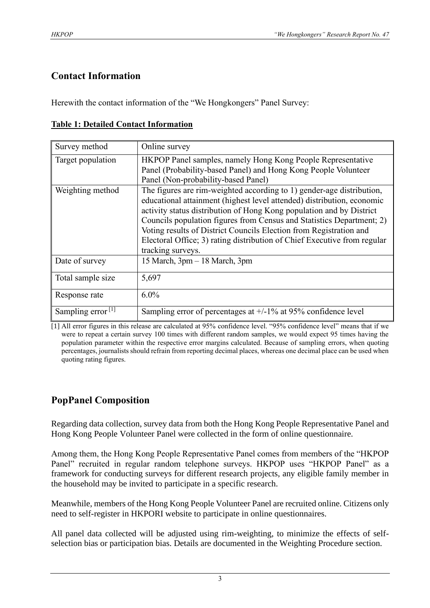## **Contact Information**

Herewith the contact information of the "We Hongkongers" Panel Survey:

|  | <b>Table 1: Detailed Contact Information</b> |
|--|----------------------------------------------|
|  |                                              |

| Survey method                 | Online survey                                                                                                                                                                                                                                                                                                                                                                                                                                                           |
|-------------------------------|-------------------------------------------------------------------------------------------------------------------------------------------------------------------------------------------------------------------------------------------------------------------------------------------------------------------------------------------------------------------------------------------------------------------------------------------------------------------------|
| Target population             | HKPOP Panel samples, namely Hong Kong People Representative<br>Panel (Probability-based Panel) and Hong Kong People Volunteer<br>Panel (Non-probability-based Panel)                                                                                                                                                                                                                                                                                                    |
| Weighting method              | The figures are rim-weighted according to 1) gender-age distribution,<br>educational attainment (highest level attended) distribution, economic<br>activity status distribution of Hong Kong population and by District<br>Councils population figures from Census and Statistics Department; 2)<br>Voting results of District Councils Election from Registration and<br>Electoral Office; 3) rating distribution of Chief Executive from regular<br>tracking surveys. |
| Date of survey                | 15 March, 3pm - 18 March, 3pm                                                                                                                                                                                                                                                                                                                                                                                                                                           |
| Total sample size             | 5,697                                                                                                                                                                                                                                                                                                                                                                                                                                                                   |
| Response rate                 | $6.0\%$                                                                                                                                                                                                                                                                                                                                                                                                                                                                 |
| Sampling error <sup>[1]</sup> | Sampling error of percentages at $+/-1\%$ at 95% confidence level                                                                                                                                                                                                                                                                                                                                                                                                       |

[1] All error figures in this release are calculated at 95% confidence level. "95% confidence level" means that if we were to repeat a certain survey 100 times with different random samples, we would expect 95 times having the population parameter within the respective error margins calculated. Because of sampling errors, when quoting percentages, journalists should refrain from reporting decimal places, whereas one decimal place can be used when quoting rating figures.

## **PopPanel Composition**

Regarding data collection, survey data from both the Hong Kong People Representative Panel and Hong Kong People Volunteer Panel were collected in the form of online questionnaire.

Among them, the Hong Kong People Representative Panel comes from members of the "HKPOP Panel" recruited in regular random telephone surveys. HKPOP uses "HKPOP Panel" as a framework for conducting surveys for different research projects, any eligible family member in the household may be invited to participate in a specific research.

Meanwhile, members of the Hong Kong People Volunteer Panel are recruited online. Citizens only need to self-register in HKPORI website to participate in online questionnaires.

All panel data collected will be adjusted using rim-weighting, to minimize the effects of selfselection bias or participation bias. Details are documented in the Weighting Procedure section.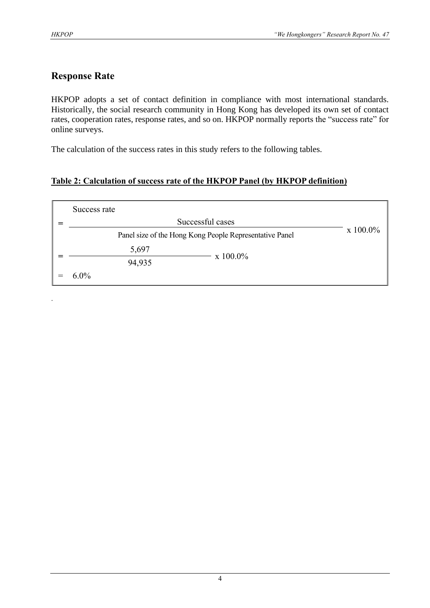.

## **Response Rate**

HKPOP adopts a set of contact definition in compliance with most international standards. Historically, the social research community in Hong Kong has developed its own set of contact rates, cooperation rates, response rates, and so on. HKPOP normally reports the "success rate" for online surveys.

The calculation of the success rates in this study refers to the following tables.

#### **Table 2: Calculation of success rate of the HKPOP Panel (by HKPOP definition)**

| Success rate                                            |                  |
|---------------------------------------------------------|------------------|
| Successful cases                                        |                  |
| Panel size of the Hong Kong People Representative Panel | $\rm x\;100.0\%$ |
| 5,697<br>x 100.0%                                       |                  |
| 94,935                                                  |                  |
| $6.0\%$                                                 |                  |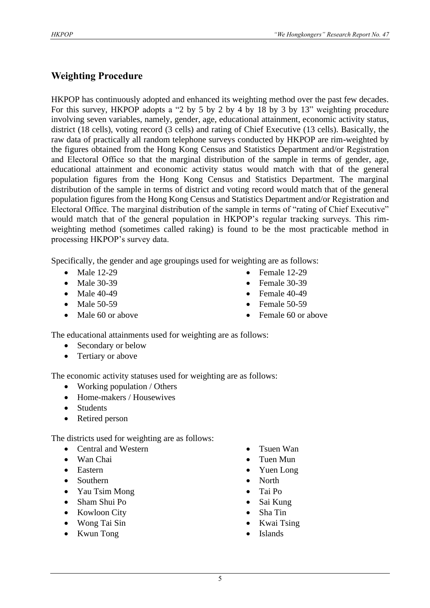### **Weighting Procedure**

HKPOP has continuously adopted and enhanced its weighting method over the past few decades. For this survey, HKPOP adopts a "2 by 5 by 2 by 4 by 18 by 3 by 13" weighting procedure involving seven variables, namely, gender, age, educational attainment, economic activity status, district (18 cells), voting record (3 cells) and rating of Chief Executive (13 cells). Basically, the raw data of practically all random telephone surveys conducted by HKPOP are rim-weighted by the figures obtained from the Hong Kong Census and Statistics Department and/or Registration and Electoral Office so that the marginal distribution of the sample in terms of gender, age, educational attainment and economic activity status would match with that of the general population figures from the Hong Kong Census and Statistics Department. The marginal distribution of the sample in terms of district and voting record would match that of the general population figures from the Hong Kong Census and Statistics Department and/or Registration and Electoral Office. The marginal distribution of the sample in terms of "rating of Chief Executive" would match that of the general population in HKPOP's regular tracking surveys. This rimweighting method (sometimes called raking) is found to be the most practicable method in processing HKPOP's survey data.

Specifically, the gender and age groupings used for weighting are as follows:

- Male 12-29
- Male 30-39
- Male 40-49
- Male 50-59
- Male 60 or above
- Female 12-29
- Female 30-39
- Female  $40-49$
- Female 50-59
- Female 60 or above

The educational attainments used for weighting are as follows:

- Secondary or below
- Tertiary or above

The economic activity statuses used for weighting are as follows:

- Working population / Others
- Home-makers / Housewives
- Students
- Retired person

The districts used for weighting are as follows:

- Central and Western
- Wan Chai
- Eastern
- Southern
- Yau Tsim Mong
- Sham Shui Po
- Kowloon City
- Wong Tai Sin
- Kwun Tong
- Tsuen Wan
- Tuen Mun
- Yuen Long
- North
- Tai Po
- Sai Kung
- Sha Tin
- Kwai Tsing
- **Islands**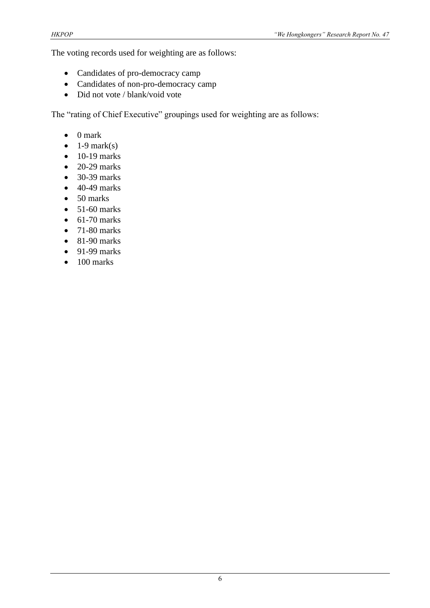The voting records used for weighting are as follows:

- Candidates of pro-democracy camp
- Candidates of non-pro-democracy camp
- Did not vote / blank/void vote

The "rating of Chief Executive" groupings used for weighting are as follows:

- 0 mark
- $\bullet$  1-9 mark(s)
- $\bullet$  10-19 marks
- $\bullet$  20-29 marks
- 30-39 marks
- $\bullet$  40-49 marks
- 50 marks
- $\bullet$  51-60 marks
- $\bullet$  61-70 marks
- $\bullet$  71-80 marks
- $\bullet$  81-90 marks
- $\bullet$  91-99 marks
- $\bullet$  100 marks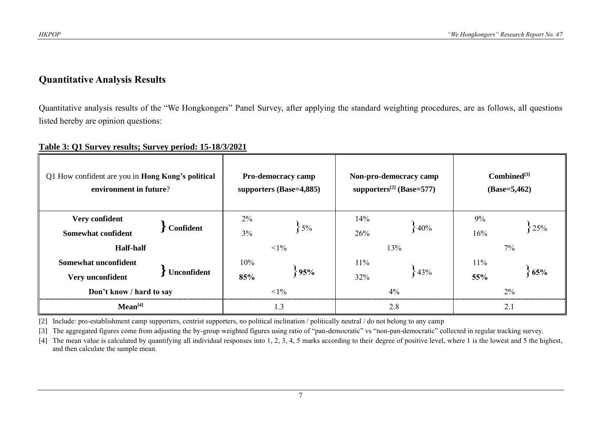#### **Quantitative Analysis Results**

Quantitative analysis results of the "We Hongkongers" Panel Survey, after applying the standard weighting procedures, are as follows, all questions listed hereby are opinion questions:

#### **Table 3: Q1 Survey results; Survey period: 15-18/3/2021**

| Q1 How confident are you in <b>Hong Kong's political</b><br>environment in future? |             | <b>Pro-democracy camp</b><br>supporters (Base=4,885) |                 | Non-pro-democracy camp<br>supporters <sup>[2]</sup> (Base=577) | $Combined^{[3]}$<br>$(Base=5,462)$ |            |           |  |
|------------------------------------------------------------------------------------|-------------|------------------------------------------------------|-----------------|----------------------------------------------------------------|------------------------------------|------------|-----------|--|
| Very confident<br><b>Somewhat confident</b><br><b>Half-half</b>                    | Confident   | 2%<br>$3\%$                                          | $5\%$<br>$<1\%$ | 14%<br>26%                                                     | $\big\}40\%$<br>13%                | 9%<br>16%  | 25%<br>7% |  |
| Somewhat unconfident<br>Very unconfident<br>Don't know / hard to say               | Unconfident | $10\%$<br>85%                                        | 95%<br>$<1\%$   | $11\%$<br>32%                                                  | 43%<br>4%                          | 11%<br>55% | 65%<br>2% |  |
| Mean <sup>[4]</sup>                                                                |             | 1.3                                                  |                 |                                                                | 2.8                                | 2.1        |           |  |

[2] Include: pro-establishment camp supporters, centrist supporters, no political inclination / politically neutral / do not belong to any camp

[3] The aggregated figures come from adjusting the by-group weighted figures using ratio of "pan-democratic" vs "non-pan-democratic" collected in regular tracking survey.

[4] The mean value is calculated by quantifying all individual responses into 1, 2, 3, 4, 5 marks according to their degree of positive level, where 1 is the lowest and 5 the highest, and then calculate the sample mean.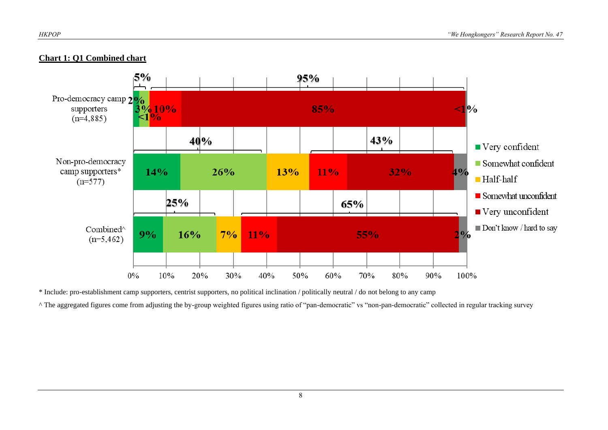



\* Include: pro-establishment camp supporters, centrist supporters, no political inclination / politically neutral / do not belong to any camp

^ The aggregated figures come from adjusting the by-group weighted figures using ratio of "pan-democratic" vs "non-pan-democratic" collected in regular tracking survey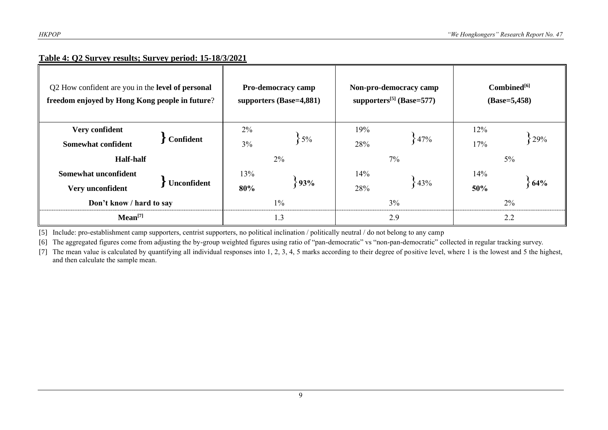#### **Table 4: Q2 Survey results; Survey period: 15-18/3/2021**

| Q2 How confident are you in the level of personal<br>freedom enjoyed by Hong Kong people in future? |           | <b>Pro-democracy camp</b><br>supporters (Base=4,881) |                | Non-pro-democracy camp<br>supporters <sup>[5]</sup> (Base=577) | $Combined^{[6]}$<br>$(Base=5,458)$ |                         |              |
|-----------------------------------------------------------------------------------------------------|-----------|------------------------------------------------------|----------------|----------------------------------------------------------------|------------------------------------|-------------------------|--------------|
| Very confident<br><b>Somewhat confident</b><br><b>Half-half</b>                                     | Confident | $2\%$<br>$3\%$                                       | $5\%$<br>$2\%$ | 19%<br>28%                                                     | 47%<br>$7\%$                       | 12%<br>17%              | 29%<br>$5\%$ |
| Somewhat unconfident<br><b>Unconfident</b><br>Very unconfident<br>Don't know / hard to say          |           | 13%<br>93%<br>80%<br>$1\%$                           |                | 14%<br>843%<br>28%<br>$3\%$                                    |                                    | 14%<br>64%<br>50%<br>2% |              |
| Mean <sup>[7]</sup>                                                                                 |           | 1.3                                                  |                | 2.9                                                            |                                    | 2.2                     |              |

[5] Include: pro-establishment camp supporters, centrist supporters, no political inclination / politically neutral / do not belong to any camp

[6] The aggregated figures come from adjusting the by-group weighted figures using ratio of "pan-democratic" vs "non-pan-democratic" collected in regular tracking survey.

[7] The mean value is calculated by quantifying all individual responses into 1, 2, 3, 4, 5 marks according to their degree of positive level, where 1 is the lowest and 5 the highest, and then calculate the sample mean.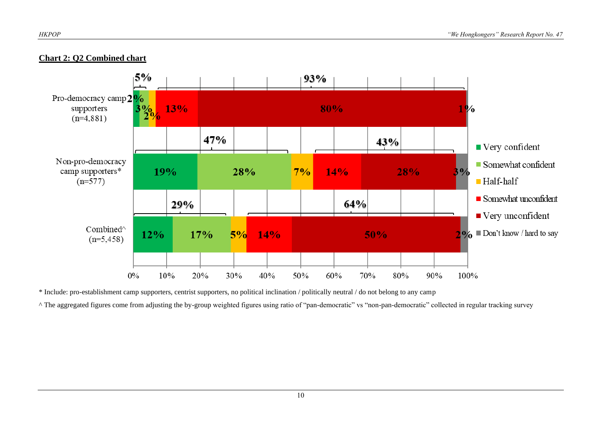

#### **Chart 2: Q2 Combined chart**

\* Include: pro-establishment camp supporters, centrist supporters, no political inclination / politically neutral / do not belong to any camp

^ The aggregated figures come from adjusting the by-group weighted figures using ratio of "pan-democratic" vs "non-pan-democratic" collected in regular tracking survey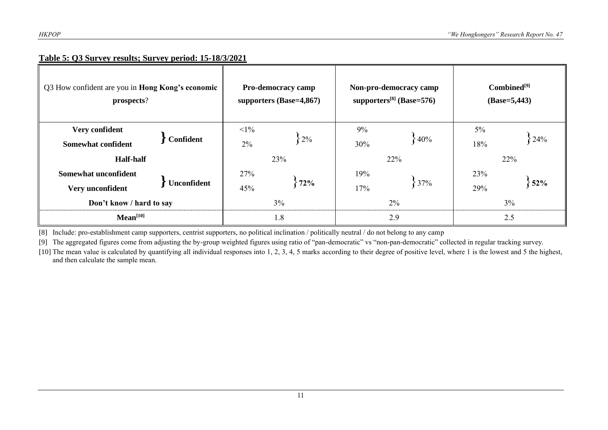#### **Table 5: Q3 Survey results; Survey period: 15-18/3/2021**

| Q3 How confident are you in <b>Hong Kong's economic</b><br>prospects?       |           | <b>Pro-democracy camp</b><br>supporters $(Base=4,867)$ |            | Non-pro-democracy camp<br>supporters $^{[8]}$ (Base=576) | $Combined^{[9]}$<br>$(Base=5,443)$ |                   |            |
|-----------------------------------------------------------------------------|-----------|--------------------------------------------------------|------------|----------------------------------------------------------|------------------------------------|-------------------|------------|
| Very confident<br><b>Somewhat confident</b>                                 | Confident | $<1\%$<br>2%                                           | $-2\%$     | 9%<br>30%                                                | $\{40\%$                           | $5\%$<br>18%      | 24%<br>22% |
| <b>Half-half</b><br>Somewhat unconfident<br>Unconfident<br>Very unconfident |           | 27%<br>45%                                             | 23%<br>72% | 19%<br>17%                                               | 22%<br>37%                         | 23%<br>52%<br>29% |            |
| Don't know / hard to say<br>Mean <sup>[10]</sup>                            |           | 3%<br>1.8                                              |            | $2\%$<br>2.9                                             | $3\%$<br>2.5                       |                   |            |

[8] Include: pro-establishment camp supporters, centrist supporters, no political inclination / politically neutral / do not belong to any camp

[9] The aggregated figures come from adjusting the by-group weighted figures using ratio of "pan-democratic" vs "non-pan-democratic" collected in regular tracking survey.

[10] The mean value is calculated by quantifying all individual responses into 1, 2, 3, 4, 5 marks according to their degree of positive level, where 1 is the lowest and 5 the highest, and then calculate the sample mean.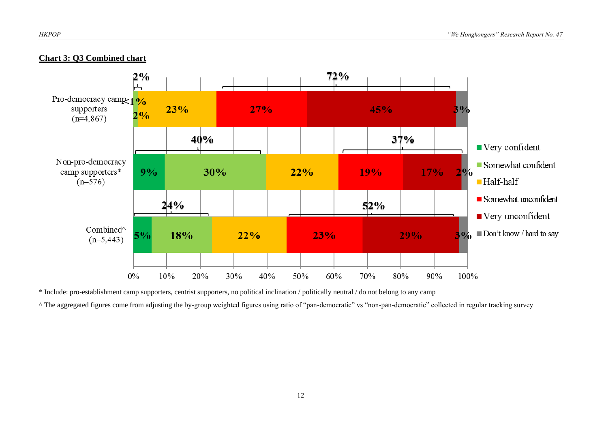

#### **Chart 3: Q3 Combined chart**

\* Include: pro-establishment camp supporters, centrist supporters, no political inclination / politically neutral / do not belong to any camp

^ The aggregated figures come from adjusting the by-group weighted figures using ratio of "pan-democratic" vs "non-pan-democratic" collected in regular tracking survey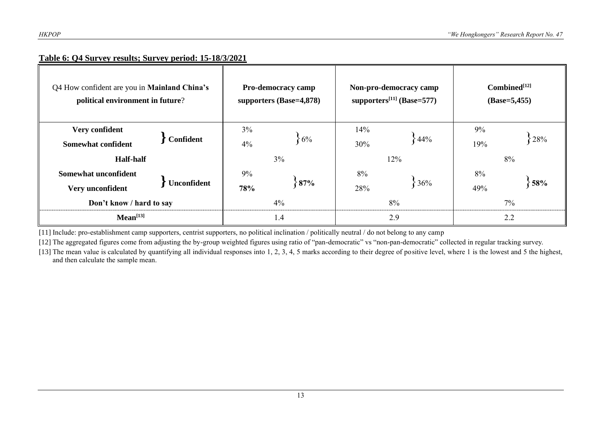#### **Table 6: Q4 Survey results; Survey period: 15-18/3/2021**

| Q4 How confident are you in Mainland China's<br>political environment in future? |             | <b>Pro-democracy camp</b><br>supporters (Base=4,878) |              | Non-pro-democracy camp<br>supporters <sup>[11]</sup> (Base=577) | $Combined^{[12]}$<br>$(Base=5,455)$ |           |           |
|----------------------------------------------------------------------------------|-------------|------------------------------------------------------|--------------|-----------------------------------------------------------------|-------------------------------------|-----------|-----------|
| Very confident<br><b>Somewhat confident</b><br><b>Half-half</b>                  | Confident   | $3\%$<br>4%                                          | $6\%$<br>3%  | 14%<br>30%                                                      | 44%<br>12%                          | 9%<br>19% | 28%<br>8% |
| Somewhat unconfident<br>Very unconfident<br>Don't know / hard to say             | Unconfident | 9%<br>78%                                            | $87\%$<br>4% | 8%<br>28%                                                       | 36%<br>8%                           | 8%<br>49% | 58%<br>7% |
| Mean <sup>[13]</sup>                                                             |             | 1.4                                                  |              | 2.9                                                             |                                     | 2.2       |           |

[11] Include: pro-establishment camp supporters, centrist supporters, no political inclination / politically neutral / do not belong to any camp

[12] The aggregated figures come from adjusting the by-group weighted figures using ratio of "pan-democratic" vs "non-pan-democratic" collected in regular tracking survey.

[13] The mean value is calculated by quantifying all individual responses into 1, 2, 3, 4, 5 marks according to their degree of positive level, where 1 is the lowest and 5 the highest, and then calculate the sample mean.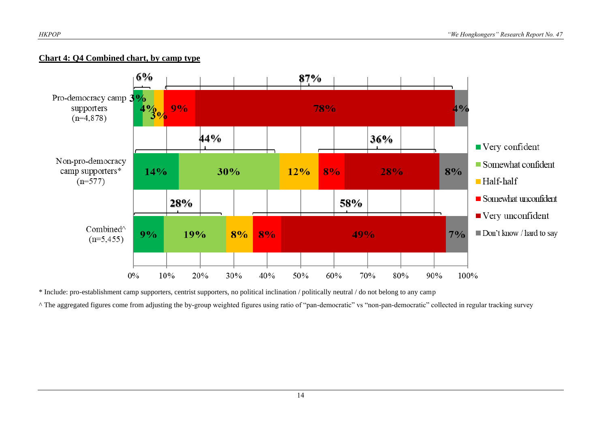#### **Chart 4: Q4 Combined chart, by camp type**



\* Include: pro-establishment camp supporters, centrist supporters, no political inclination / politically neutral / do not belong to any camp

^ The aggregated figures come from adjusting the by-group weighted figures using ratio of "pan-democratic" vs "non-pan-democratic" collected in regular tracking survey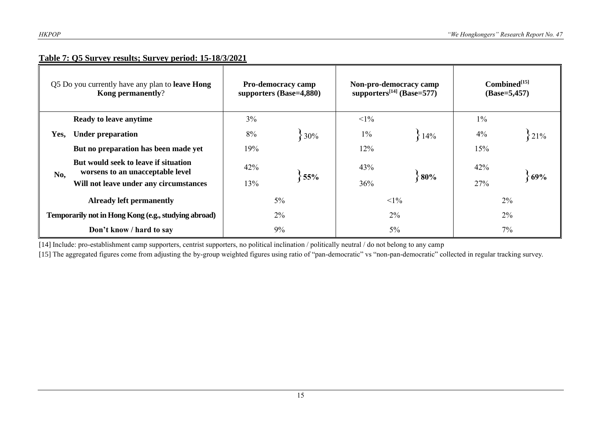#### **Table 7: Q5 Survey results; Survey period: 15-18/3/2021**

|      | Q5 Do you currently have any plan to <b>leave Hong</b><br>Kong permanently? |       | <b>Pro-democracy camp</b><br>supporters (Base=4,880) | supporters $[14]$ (Base=577) | Non-pro-democracy camp | $Combined^{[15]}$<br>$(Base=5,457)$ |     |  |
|------|-----------------------------------------------------------------------------|-------|------------------------------------------------------|------------------------------|------------------------|-------------------------------------|-----|--|
|      | <b>Ready to leave anytime</b>                                               | $3\%$ |                                                      | $<1\%$                       |                        | $1\%$                               |     |  |
| Yes, | <b>Under preparation</b>                                                    | 8%    | 30%                                                  | $1\%$                        | ${14%$                 | 4%                                  | 21% |  |
|      | But no preparation has been made yet                                        | 19%   |                                                      | 12%                          |                        | 15%                                 |     |  |
| No,  | But would seek to leave if situation<br>worsens to an unacceptable level    | 42%   | 55%                                                  | 43%                          | 80%                    | 42%                                 | 69% |  |
|      | Will not leave under any circumstances                                      | 13%   |                                                      | 36%                          |                        | 27%                                 |     |  |
|      | <b>Already left permanently</b>                                             |       | $5\%$                                                |                              | $<1\%$                 | $2\%$                               |     |  |
|      | Temporarily not in Hong Kong (e.g., studying abroad)                        | 2%    |                                                      | $2\%$                        |                        | $2\%$                               |     |  |
|      | Don't know / hard to say                                                    |       | 9%                                                   |                              | $5\%$                  | 7%                                  |     |  |

[14] Include: pro-establishment camp supporters, centrist supporters, no political inclination / politically neutral / do not belong to any camp

[15] The aggregated figures come from adjusting the by-group weighted figures using ratio of "pan-democratic" vs "non-pan-democratic" collected in regular tracking survey.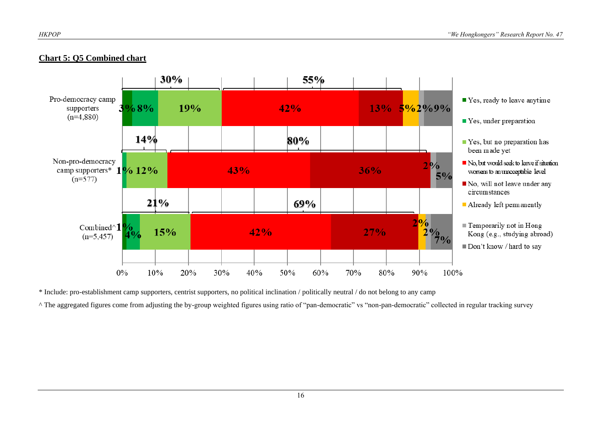#### **Chart 5: Q5 Combined chart**



\* Include: pro-establishment camp supporters, centrist supporters, no political inclination / politically neutral / do not belong to any camp

^ The aggregated figures come from adjusting the by-group weighted figures using ratio of "pan-democratic" vs "non-pan-democratic" collected in regular tracking survey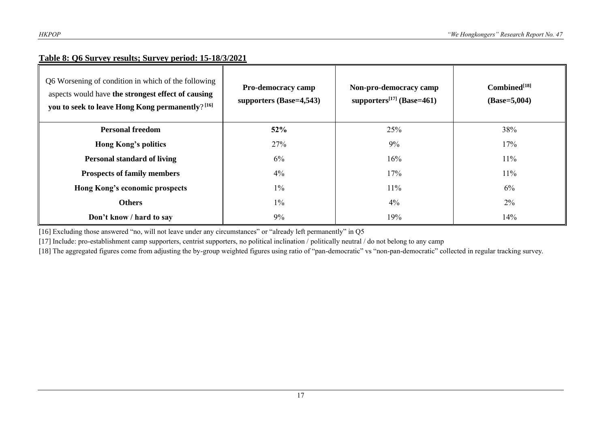#### **Table 8: Q6 Survey results; Survey period: 15-18/3/2021**

| Q6 Worsening of condition in which of the following<br>aspects would have the strongest effect of causing<br>you to seek to leave Hong Kong permanently? <sup>[16]</sup> | <b>Pro-democracy camp</b><br>supporters $(Base=4,543)$ | Non-pro-democracy camp<br>supporters <sup>[17]</sup> (Base=461) | Combined <sup>[18]</sup><br>$(Base=5,004)$ |
|--------------------------------------------------------------------------------------------------------------------------------------------------------------------------|--------------------------------------------------------|-----------------------------------------------------------------|--------------------------------------------|
| <b>Personal freedom</b>                                                                                                                                                  | 52%                                                    | 25%                                                             | 38%                                        |
| <b>Hong Kong's politics</b>                                                                                                                                              | 27%                                                    | 9%                                                              | 17%                                        |
| <b>Personal standard of living</b>                                                                                                                                       | 6%                                                     | 16%                                                             | $11\%$                                     |
| <b>Prospects of family members</b>                                                                                                                                       | 4%                                                     | 17%                                                             | 11%                                        |
| Hong Kong's economic prospects                                                                                                                                           | $1\%$                                                  | $11\%$                                                          | 6%                                         |
| <b>Others</b>                                                                                                                                                            | $1\%$                                                  | 4%                                                              | 2%                                         |
| Don't know / hard to say                                                                                                                                                 | 9%                                                     | 19%                                                             | 14%                                        |

[16] Excluding those answered "no, will not leave under any circumstances" or "already left permanently" in Q5

[17] Include: pro-establishment camp supporters, centrist supporters, no political inclination / politically neutral / do not belong to any camp

[18] The aggregated figures come from adjusting the by-group weighted figures using ratio of "pan-democratic" vs "non-pan-democratic" collected in regular tracking survey.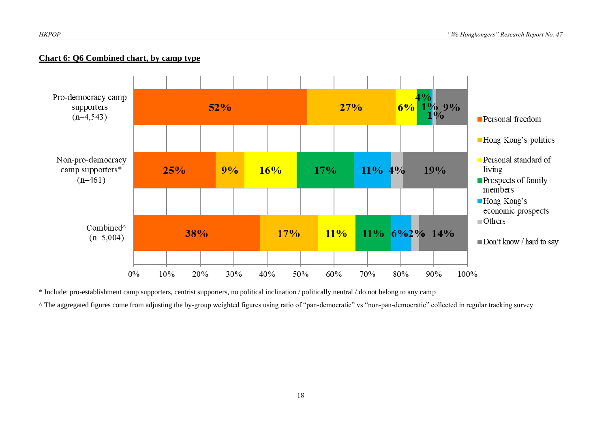#### **Chart 6: Q6 Combined chart, by camp type**



\* Include: pro-establishment camp supporters, centrist supporters, no political inclination / politically neutral / do not belong to any camp

^ The aggregated figures come from adjusting the by-group weighted figures using ratio of "pan-democratic" vs "non-pan-democratic" collected in regular tracking survey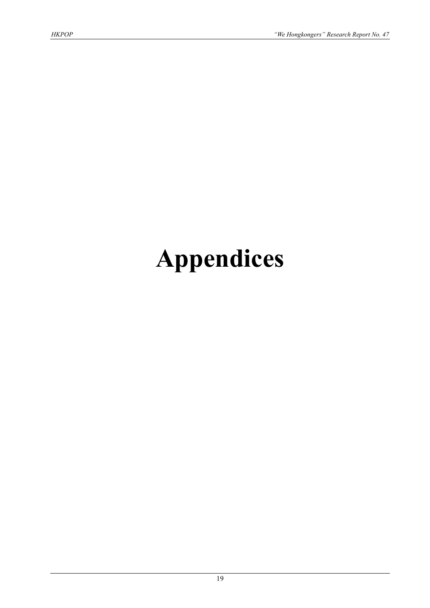# **Appendices**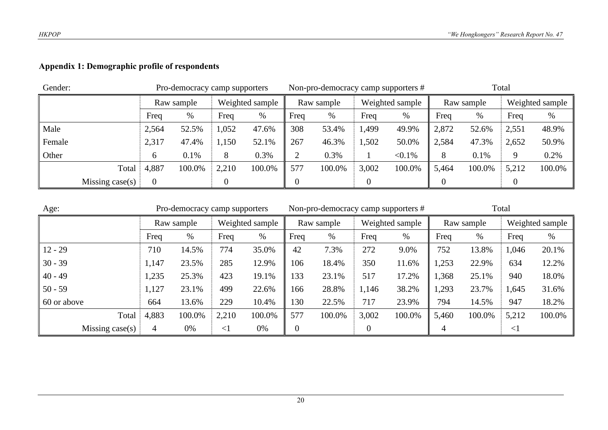### **Appendix 1: Demographic profile of respondents**

| Gender: |                    |              | Pro-democracy camp supporters |                 |        | Non-pro-democracy camp supporters # |        |                 |           | Total      |        |                 |        |
|---------|--------------------|--------------|-------------------------------|-----------------|--------|-------------------------------------|--------|-----------------|-----------|------------|--------|-----------------|--------|
|         |                    | Raw sample   |                               | Weighted sample |        | Raw sample                          |        | Weighted sample |           | Raw sample |        | Weighted sample |        |
|         |                    | Freq         | %                             | Freq            | %      | Freq                                | %      | Freq            | %         | Freq       | $\%$   | Freq            | $\%$   |
| Male    |                    | 2,564        | 52.5%                         | .052            | 47.6%  | 308                                 | 53.4%  | 1,499           | 49.9%     | 2,872      | 52.6%  | 2,551           | 48.9%  |
| Female  |                    | 2,317        | 47.4%                         | 1,150           | 52.1%  | 267                                 | 46.3%  | 1,502           | 50.0%     | 2,584      | 47.3%  | 2,652           | 50.9%  |
| Other   |                    | <sub>(</sub> | 0.1%                          | 8               | 0.3%   | ◠                                   | 0.3%   |                 | $< 0.1\%$ | 8          | 0.1%   | 9               | 0.2%   |
|         | Total              | 4,887        | 100.0%                        | 2,210           | 100.0% | 577                                 | 100.0% | 3,002           | 100.0%    | 5,464      | 100.0% | 5,212           | 100.0% |
|         | Missing case $(s)$ |              |                               |                 |        |                                     |        |                 |           |            |        |                 |        |

| Age:              |       | Pro-democracy camp supporters |       |                 | Non-pro-democracy camp supporters # |            |       |                 | Total |            |        |                 |  |
|-------------------|-------|-------------------------------|-------|-----------------|-------------------------------------|------------|-------|-----------------|-------|------------|--------|-----------------|--|
|                   |       | Raw sample                    |       | Weighted sample |                                     | Raw sample |       | Weighted sample |       | Raw sample |        | Weighted sample |  |
|                   | Freq  | %                             | Freq  | %               | Freq                                | $\%$       | Freq  | %               | Freq  | %          | Freq   | $\%$            |  |
| $12 - 29$         | 710   | 14.5%                         | 774   | 35.0%           | 42                                  | 7.3%       | 272   | 9.0%            | 752   | 13.8%      | 1,046  | 20.1%           |  |
| $30 - 39$         | 1,147 | 23.5%                         | 285   | 12.9%           | 106                                 | 18.4%      | 350   | 11.6%           | 1,253 | 22.9%      | 634    | 12.2%           |  |
| $40 - 49$         | 1,235 | 25.3%                         | 423   | 19.1%           | 133                                 | 23.1%      | 517   | 17.2%           | 1,368 | 25.1%      | 940    | 18.0%           |  |
| $50 - 59$         | 1,127 | 23.1%                         | 499   | 22.6%           | 166                                 | 28.8%      | 1,146 | 38.2%           | 1,293 | 23.7%      | 1,645  | 31.6%           |  |
| 60 or above       | 664   | 13.6%                         | 229   | 10.4%           | 130                                 | 22.5%      | 717   | 23.9%           | 794   | 14.5%      | 947    | 18.2%           |  |
| Total             | 4,883 | 100.0%                        | 2,210 | 100.0%          | 577                                 | 100.0%     | 3,002 | 100.0%          | 5,460 | 100.0%     | 5,212  | 100.0%          |  |
| Missing $case(s)$ | 4     | 0%                            | $<$ 1 | 0%              | $\overline{0}$                      |            |       |                 | 4     |            | $\leq$ |                 |  |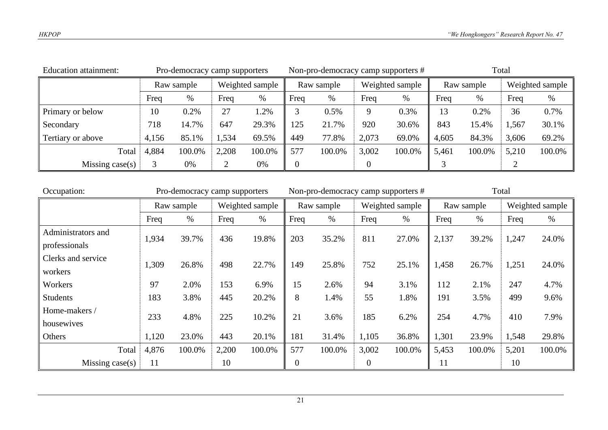| <b>Education attainment:</b> |            | Pro-democracy camp supporters |                 |        |            | Non-pro-democracy camp supporters # |                 |        | Total      |        |                 |        |
|------------------------------|------------|-------------------------------|-----------------|--------|------------|-------------------------------------|-----------------|--------|------------|--------|-----------------|--------|
|                              | Raw sample |                               | Weighted sample |        | Raw sample |                                     | Weighted sample |        | Raw sample |        | Weighted sample |        |
|                              | Freq       | %                             | Freq            | %      | Freq       | %                                   | Freq            | $\%$   | Freq       | $\%$   | Freq            | $\%$   |
| Primary or below             | 10         | 0.2%                          | 27              | $.2\%$ |            | 0.5%                                | 9               | 0.3%   | 13         | 0.2%   | 36              | 0.7%   |
| Secondary                    | 718        | 14.7%                         | 647             | 29.3%  | 125        | 21.7%                               | 920             | 30.6%  | 843        | 15.4%  | 1,567           | 30.1%  |
| Tertiary or above            | 4,156      | 85.1%                         | 1,534           | 69.5%  | 449        | 77.8%                               | 2,073           | 69.0%  | 4,605      | 84.3%  | 3,606           | 69.2%  |
| Total                        | 4,884      | 100.0%                        | 2,208           | 100.0% | 577        | 100.0%                              | 3,002           | 100.0% | 5,461      | 100.0% | 5,210           | 100.0% |
| Missing case $(s)$<br>0%     |            |                               | 0%              |        |            |                                     |                 |        |            |        |                 |        |

| Occupation:        | Pro-democracy camp supporters |        |                 | Non-pro-democracy camp supporters # |            |        |                 | Total  |            |        |       |                 |
|--------------------|-------------------------------|--------|-----------------|-------------------------------------|------------|--------|-----------------|--------|------------|--------|-------|-----------------|
|                    | Raw sample                    |        | Weighted sample |                                     | Raw sample |        | Weighted sample |        | Raw sample |        |       | Weighted sample |
|                    | Freq                          | $\%$   | Freq            | $\%$                                | Freq       | $\%$   | Freq            | $\%$   | Freq       | $\%$   | Freq  | $\%$            |
| Administrators and | 1,934                         | 39.7%  | 436             | 19.8%                               | 203        | 35.2%  | 811             | 27.0%  | 2,137      | 39.2%  | 1,247 | 24.0%           |
| professionals      |                               |        |                 |                                     |            |        |                 |        |            |        |       |                 |
| Clerks and service | 1,309                         | 26.8%  | 498             | 22.7%                               | 149        | 25.8%  | 752             | 25.1%  | 1,458      | 26.7%  | 1,251 | 24.0%           |
| workers            |                               |        |                 |                                     |            |        |                 |        |            |        |       |                 |
| Workers            | 97                            | 2.0%   | 153             | 6.9%                                | 15         | 2.6%   | 94              | 3.1%   | 112        | 2.1%   | 247   | 4.7%            |
| <b>Students</b>    | 183                           | 3.8%   | 445             | 20.2%                               | 8          | 1.4%   | 55              | 1.8%   | 191        | 3.5%   | 499   | 9.6%            |
| Home-makers /      | 233                           | 4.8%   | 225             | 10.2%                               | 21         | 3.6%   | 185             | 6.2%   | 254        | 4.7%   | 410   | 7.9%            |
| housewives         |                               |        |                 |                                     |            |        |                 |        |            |        |       |                 |
| Others             | 1,120                         | 23.0%  | 443             | 20.1%                               | 181        | 31.4%  | 1,105           | 36.8%  | 1,301      | 23.9%  | 1,548 | 29.8%           |
| Total              | 4,876                         | 100.0% | 2,200           | 100.0%                              | 577        | 100.0% | 3,002           | 100.0% | 5,453      | 100.0% | 5,201 | 100.0%          |
| Missing case $(s)$ | 11                            |        | 10              |                                     | 0          |        | 0               |        | 11         |        | 10    |                 |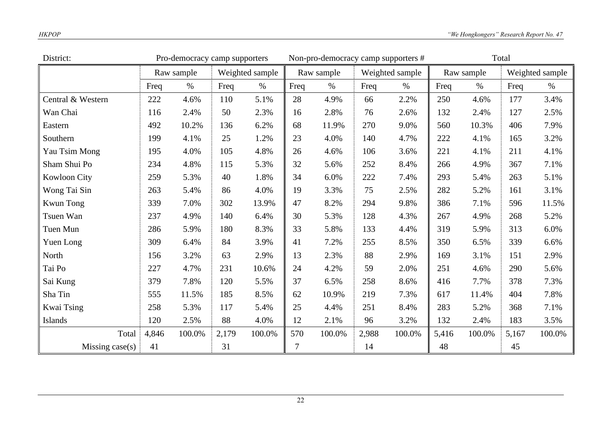| District:           | Pro-democracy camp supporters |            |       |                 | Non-pro-democracy camp supporters # |            |       |                 | Total |            |       |                 |
|---------------------|-------------------------------|------------|-------|-----------------|-------------------------------------|------------|-------|-----------------|-------|------------|-------|-----------------|
|                     |                               | Raw sample |       | Weighted sample |                                     | Raw sample |       | Weighted sample |       | Raw sample |       | Weighted sample |
|                     | Freq                          | $\%$       | Freq  | $\%$            | Freq                                | $\%$       | Freq  | $\%$            | Freq  | $\%$       | Freq  | $\%$            |
| Central & Western   | 222                           | 4.6%       | 110   | 5.1%            | 28                                  | 4.9%       | 66    | 2.2%            | 250   | 4.6%       | 177   | 3.4%            |
| Wan Chai            | 116                           | 2.4%       | 50    | 2.3%            | 16                                  | 2.8%       | 76    | 2.6%            | 132   | 2.4%       | 127   | 2.5%            |
| Eastern             | 492                           | 10.2%      | 136   | 6.2%            | 68                                  | 11.9%      | 270   | 9.0%            | 560   | 10.3%      | 406   | 7.9%            |
| Southern            | 199                           | 4.1%       | 25    | 1.2%            | 23                                  | 4.0%       | 140   | 4.7%            | 222   | 4.1%       | 165   | 3.2%            |
| Yau Tsim Mong       | 195                           | 4.0%       | 105   | 4.8%            | 26                                  | 4.6%       | 106   | 3.6%            | 221   | 4.1%       | 211   | 4.1%            |
| Sham Shui Po        | 234                           | 4.8%       | 115   | 5.3%            | 32                                  | 5.6%       | 252   | 8.4%            | 266   | 4.9%       | 367   | 7.1%            |
| <b>Kowloon City</b> | 259                           | 5.3%       | 40    | 1.8%            | 34                                  | 6.0%       | 222   | 7.4%            | 293   | 5.4%       | 263   | 5.1%            |
| Wong Tai Sin        | 263                           | 5.4%       | 86    | 4.0%            | 19                                  | 3.3%       | 75    | 2.5%            | 282   | 5.2%       | 161   | 3.1%            |
| <b>Kwun Tong</b>    | 339                           | 7.0%       | 302   | 13.9%           | 47                                  | 8.2%       | 294   | 9.8%            | 386   | 7.1%       | 596   | 11.5%           |
| Tsuen Wan           | 237                           | 4.9%       | 140   | 6.4%            | 30                                  | 5.3%       | 128   | 4.3%            | 267   | 4.9%       | 268   | 5.2%            |
| Tuen Mun            | 286                           | 5.9%       | 180   | 8.3%            | 33                                  | 5.8%       | 133   | 4.4%            | 319   | 5.9%       | 313   | 6.0%            |
| Yuen Long           | 309                           | 6.4%       | 84    | 3.9%            | 41                                  | 7.2%       | 255   | 8.5%            | 350   | 6.5%       | 339   | 6.6%            |
| North               | 156                           | 3.2%       | 63    | 2.9%            | 13                                  | 2.3%       | 88    | 2.9%            | 169   | 3.1%       | 151   | 2.9%            |
| Tai Po              | 227                           | 4.7%       | 231   | 10.6%           | 24                                  | 4.2%       | 59    | 2.0%            | 251   | 4.6%       | 290   | 5.6%            |
| Sai Kung            | 379                           | 7.8%       | 120   | 5.5%            | 37                                  | 6.5%       | 258   | 8.6%            | 416   | 7.7%       | 378   | 7.3%            |
| Sha Tin             | 555                           | 11.5%      | 185   | 8.5%            | 62                                  | 10.9%      | 219   | 7.3%            | 617   | 11.4%      | 404   | 7.8%            |
| Kwai Tsing          | 258                           | 5.3%       | 117   | 5.4%            | 25                                  | 4.4%       | 251   | 8.4%            | 283   | 5.2%       | 368   | 7.1%            |
| Islands             | 120                           | 2.5%       | 88    | 4.0%            | 12                                  | 2.1%       | 96    | 3.2%            | 132   | 2.4%       | 183   | 3.5%            |
| Total               | 4,846                         | 100.0%     | 2,179 | 100.0%          | 570                                 | 100.0%     | 2,988 | 100.0%          | 5,416 | 100.0%     | 5,167 | 100.0%          |
| Missing case(s)     | 41                            |            | 31    |                 | 7                                   |            | 14    |                 | 48    |            | 45    |                 |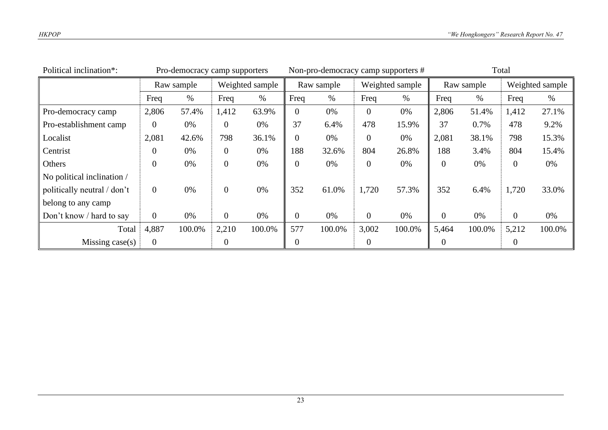| Political inclination*:     | Pro-democracy camp supporters |                               |                | Non-pro-democracy camp supporters # |                |        |                 | Total  |                |        |                 |        |
|-----------------------------|-------------------------------|-------------------------------|----------------|-------------------------------------|----------------|--------|-----------------|--------|----------------|--------|-----------------|--------|
|                             |                               | Weighted sample<br>Raw sample |                | Raw sample                          |                |        | Weighted sample |        | Raw sample     |        | Weighted sample |        |
|                             | Freq                          | %                             | Freq           | $\%$                                | Freq           | $\%$   | Freq            | $\%$   | Freq           | %      | Freq            | $\%$   |
| Pro-democracy camp          | 2,806                         | 57.4%                         | 1,412          | 63.9%                               | 0              | 0%     | $\theta$        | 0%     | 2,806          | 51.4%  | 1,412           | 27.1%  |
| Pro-establishment camp      | $\overline{0}$                | 0%                            | $\theta$       | 0%                                  | 37             | 6.4%   | 478             | 15.9%  | 37             | 0.7%   | 478             | 9.2%   |
| Localist                    | 2,081                         | 42.6%                         | 798            | 36.1%                               | 0              | 0%     | $\overline{0}$  | 0%     | 2,081          | 38.1%  | 798             | 15.3%  |
| Centrist                    | 0                             | 0%                            | $\overline{0}$ | 0%                                  | 188            | 32.6%  | 804             | 26.8%  | 188            | 3.4%   | 804             | 15.4%  |
| Others                      | $\overline{0}$                | 0%                            | $\overline{0}$ | 0%                                  | $\theta$       | 0%     | $\theta$        | 0%     | $\overline{0}$ | 0%     | $\overline{0}$  | 0%     |
| No political inclination /  |                               |                               |                |                                     |                |        |                 |        |                |        |                 |        |
| politically neutral / don't | $\overline{0}$                | 0%                            | $\overline{0}$ | 0%                                  | 352            | 61.0%  | 1,720           | 57.3%  | 352            | 6.4%   | 1,720           | 33.0%  |
| belong to any camp          |                               |                               |                |                                     |                |        |                 |        |                |        |                 |        |
| Don't know / hard to say    | $\overline{0}$                | 0%                            | $\overline{0}$ | 0%                                  | $\overline{0}$ | 0%     | $\overline{0}$  | 0%     | $\overline{0}$ | 0%     | $\overline{0}$  | 0%     |
| Total                       | 4,887                         | 100.0%                        | 2,210          | 100.0%                              | 577            | 100.0% | 3,002           | 100.0% | 5,464          | 100.0% | 5,212           | 100.0% |
| Missing $case(s)$           | $\overline{0}$                |                               | 0              |                                     | 0              |        | 0               |        | $\Omega$       |        | $\overline{0}$  |        |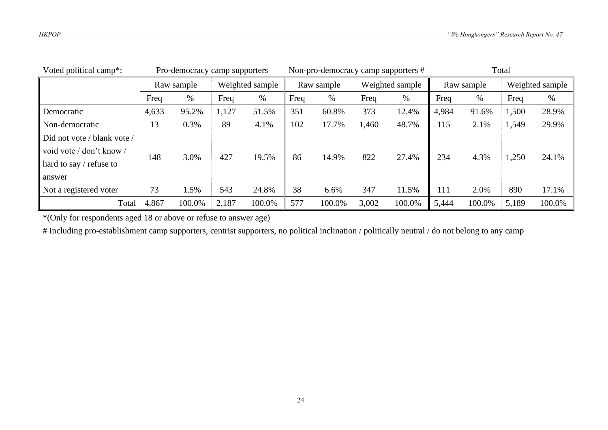| Voted political camp*:      | Pro-democracy camp supporters |        |                 | Non-pro-democracy camp supporters # |            |        |                 | Total  |            |        |                 |        |
|-----------------------------|-------------------------------|--------|-----------------|-------------------------------------|------------|--------|-----------------|--------|------------|--------|-----------------|--------|
|                             | Raw sample                    |        | Weighted sample |                                     | Raw sample |        | Weighted sample |        | Raw sample |        | Weighted sample |        |
|                             | Freq                          | %      | Freq            | $\%$                                | Freq       | %      | Freq            | $\%$   | Freq       | %      | Freq            | $\%$   |
| Democratic                  | 4,633                         | 95.2%  | 1,127           | 51.5%                               | 351        | 60.8%  | 373             | 12.4%  | 4,984      | 91.6%  | 1,500           | 28.9%  |
| Non-democratic              | 13                            | 0.3%   | 89              | 4.1%                                | 102        | 17.7%  | 1,460           | 48.7%  | 115        | 2.1%   | 1,549           | 29.9%  |
| Did not vote / blank vote / |                               |        |                 |                                     |            |        |                 |        |            |        |                 |        |
| void vote / don't know /    | 148                           | 3.0%   | 427             | 19.5%                               | 86         | 14.9%  | 822             | 27.4%  | 234        | 4.3%   | 1,250           | 24.1%  |
| hard to say $/$ refuse to   |                               |        |                 |                                     |            |        |                 |        |            |        |                 |        |
| answer                      |                               |        |                 |                                     |            |        |                 |        |            |        |                 |        |
| Not a registered voter      | 73                            | 1.5%   | 543             | 24.8%                               | 38         | 6.6%   | 347             | 11.5%  | 111        | 2.0%   | 890             | 17.1%  |
| Total                       | 4,867                         | 100.0% | 2,187           | 100.0%                              | 577        | 100.0% | 3,002           | 100.0% | 5,444      | 100.0% | 5,189           | 100.0% |

\*(Only for respondents aged 18 or above or refuse to answer age)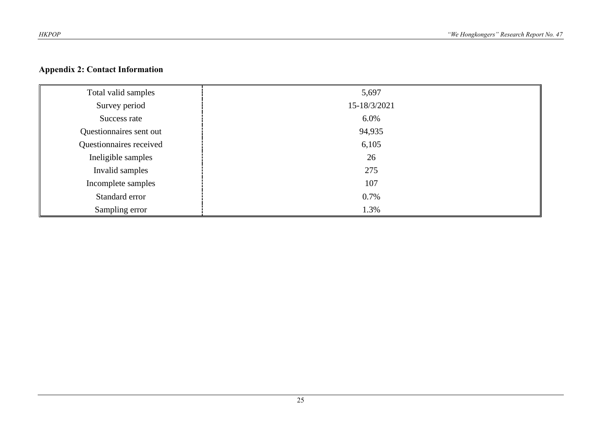#### **Appendix 2: Contact Information**

| Total valid samples     | 5,697        |
|-------------------------|--------------|
| Survey period           | 15-18/3/2021 |
| Success rate            | 6.0%         |
| Questionnaires sent out | 94,935       |
| Questionnaires received | 6,105        |
| Ineligible samples      | 26           |
| Invalid samples         | 275          |
| Incomplete samples      | 107          |
| Standard error          | 0.7%         |
| Sampling error          | 1.3%         |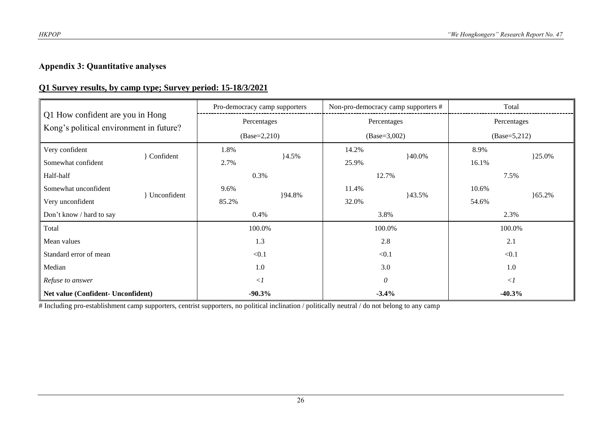#### **Appendix 3: Quantitative analyses**

#### **Q1 Survey results, by camp type; Survey period: 15-18/3/2021**

| Q1 How confident are you in Hong<br>Kong's political environment in future? |             |       | Pro-democracy camp supporters |       | Non-pro-democracy camp supporters # | Total          |          |  |
|-----------------------------------------------------------------------------|-------------|-------|-------------------------------|-------|-------------------------------------|----------------|----------|--|
|                                                                             |             |       | Percentages                   |       | Percentages                         | Percentages    |          |  |
|                                                                             |             |       | $(Base=2,210)$                |       | $(Base=3,002)$                      | $(Base=5,212)$ |          |  |
| Very confident                                                              |             | 1.8%  |                               | 14.2% | $40.0\%$                            | 8.9%           |          |  |
| Somewhat confident                                                          | Confident   | 2.7%  | $4.5\%$                       | 25.9% |                                     | 16.1%          | }25.0%   |  |
| Half-half                                                                   |             | 0.3%  |                               | 12.7% |                                     | 7.5%           |          |  |
| Somewhat unconfident                                                        |             | 9.6%  |                               | 11.4% |                                     | 10.6%          |          |  |
| Very unconfident                                                            | Unconfident | 85.2% | }94.8%                        | 32.0% | 43.5%                               | 54.6%          | $65.2\%$ |  |
| Don't know / hard to say                                                    |             |       | 0.4%                          |       | 3.8%                                | 2.3%           |          |  |
| Total                                                                       |             |       | 100.0%                        |       | 100.0%                              | 100.0%         |          |  |
| Mean values                                                                 |             |       | 1.3                           |       | 2.8                                 | 2.1            |          |  |
| Standard error of mean                                                      |             | < 0.1 |                               |       | < 0.1                               | < 0.1          |          |  |
| Median                                                                      |             | 1.0   |                               |       | 3.0                                 | 1.0            |          |  |
| Refuse to answer                                                            |             |       | $\langle$ 1                   |       | $\boldsymbol{\theta}$               | $\langle$ 1    |          |  |
| Net value (Confident- Unconfident)                                          |             |       | $-90.3%$                      |       | $-3.4%$                             | $-40.3%$       |          |  |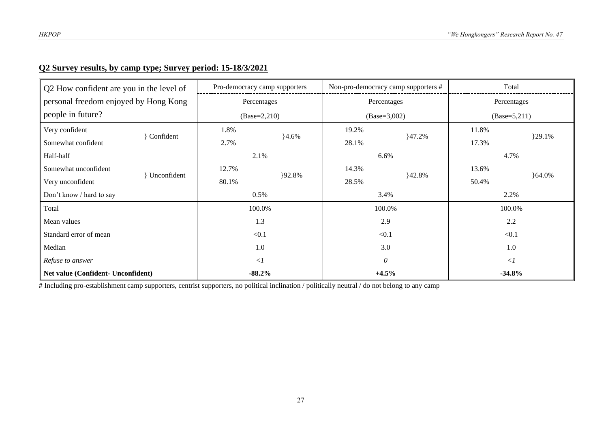#### **Q2 Survey results, by camp type; Survey period: 15-18/3/2021**

| Q2 How confident are you in the level of |             |             | Pro-democracy camp supporters |       | Non-pro-democracy camp supporters # | Total          |           |  |
|------------------------------------------|-------------|-------------|-------------------------------|-------|-------------------------------------|----------------|-----------|--|
| personal freedom enjoyed by Hong Kong    |             | Percentages |                               |       | Percentages                         | Percentages    |           |  |
| people in future?                        |             |             | $(Base=2,210)$                |       | $(Base=3,002)$                      | $(Base=5,211)$ |           |  |
| Very confident                           |             | 1.8%        |                               | 19.2% |                                     | 11.8%          |           |  |
| Somewhat confident                       | Confident   | 2.7%        | $4.6\%$                       | 28.1% | 147.2%                              | 17.3%          | ${29.1%}$ |  |
| Half-half                                |             | 2.1%        |                               | 6.6%  |                                     | 4.7%           |           |  |
| Somewhat unconfident                     |             | 12.7%       |                               | 14.3% |                                     | 13.6%          |           |  |
| Very unconfident                         | Unconfident | 80.1%       | }92.8%                        | 28.5% | }42.8%                              | 50.4%          | $64.0\%$  |  |
| Don't know / hard to say                 |             | 0.5%        |                               |       | 3.4%                                | 2.2%           |           |  |
| Total                                    |             | 100.0%      |                               |       | 100.0%                              | 100.0%         |           |  |
| Mean values                              |             | 1.3         |                               |       | 2.9                                 | 2.2            |           |  |
| Standard error of mean                   |             | < 0.1       |                               |       | < 0.1                               | < 0.1          |           |  |
| Median                                   |             | 1.0         |                               | 3.0   |                                     | 1.0            |           |  |
| Refuse to answer                         |             | $\langle$ 1 |                               |       | $\theta$                            | $\langle$ 1    |           |  |
| Net value (Confident- Unconfident)       |             | $-88.2%$    |                               |       | $+4.5%$                             | $-34.8%$       |           |  |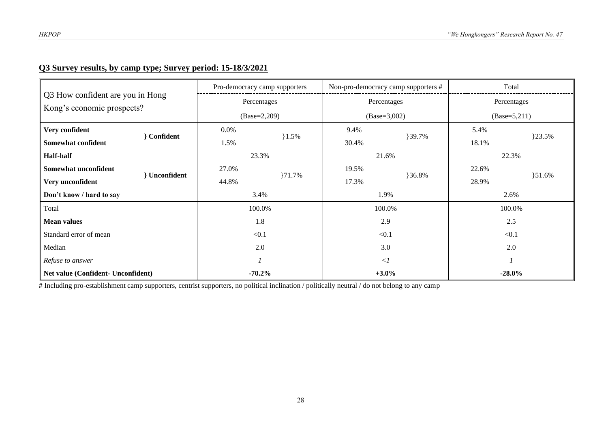#### **Q3 Survey results, by camp type; Survey period: 15-18/3/2021**

|                                                                |             | Pro-democracy camp supporters |       | Non-pro-democracy camp supporters # |                | Total      |  |
|----------------------------------------------------------------|-------------|-------------------------------|-------|-------------------------------------|----------------|------------|--|
| Q3 How confident are you in Hong<br>Kong's economic prospects? | Percentages |                               |       | Percentages                         | Percentages    |            |  |
|                                                                |             | $(Base=2,209)$                |       | $(Base=3,002)$                      | $(Base=5,211)$ |            |  |
| Very confident<br><b>Confident</b>                             | 0.0%        | $1.5\%$                       | 9.4%  | }39.7%                              | 5.4%           | }23.5%     |  |
| Somewhat confident                                             | 1.5%        |                               | 30.4% |                                     | 18.1%          |            |  |
| <b>Half-half</b>                                               | 23.3%       |                               | 21.6% |                                     | 22.3%          |            |  |
| Somewhat unconfident                                           | 27.0%       |                               | 19.5% |                                     | 22.6%          |            |  |
| <b>Unconfident</b><br>Very unconfident                         | 44.8%       | 171.7%                        | 17.3% | }36.8%                              | 28.9%          | $\{51.6\%$ |  |
| Don't know / hard to say                                       | 3.4%        |                               |       | 1.9%                                | 2.6%           |            |  |
| Total                                                          | 100.0%      |                               |       | 100.0%                              | 100.0%         |            |  |
| <b>Mean values</b>                                             |             | 1.8                           |       | 2.9                                 | 2.5            |            |  |
| Standard error of mean                                         | < 0.1       |                               |       | < 0.1                               | < 0.1          |            |  |
| Median                                                         | 2.0         |                               |       | 3.0                                 | 2.0            |            |  |
| Refuse to answer                                               |             |                               |       | $\langle$                           |                |            |  |
| Net value (Confident- Unconfident)                             | $-70.2%$    |                               |       | $+3.0%$                             | $-28.0\%$      |            |  |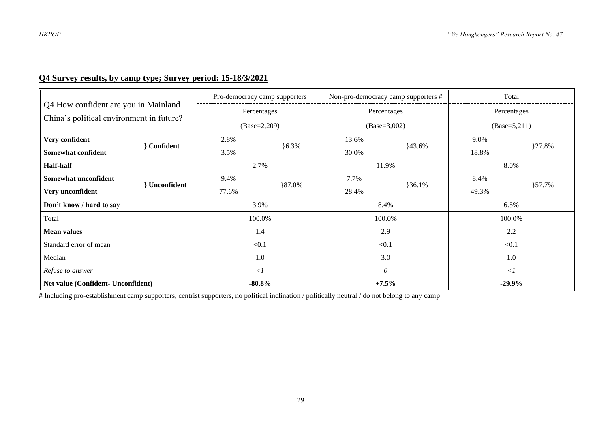#### **Q4 Survey results, by camp type; Survey period: 15-18/3/2021**

|                                                                                  |                      |             | Pro-democracy camp supporters |       | Non-pro-democracy camp supporters # |                | Total       |  |
|----------------------------------------------------------------------------------|----------------------|-------------|-------------------------------|-------|-------------------------------------|----------------|-------------|--|
| Q4 How confident are you in Mainland<br>China's political environment in future? |                      |             | Percentages                   |       | Percentages                         |                | Percentages |  |
|                                                                                  |                      |             | $(Base=2,209)$                |       | $(Base=3,002)$                      | $(Base=5,211)$ |             |  |
| Very confident                                                                   |                      | 2.8%        |                               | 13.6% |                                     | 9.0%           |             |  |
| <b>Confident</b><br>Somewhat confident                                           |                      | 3.5%        | $6.3\%$                       | 30.0% | 43.6%                               | 18.8%          | }27.8%      |  |
| <b>Half-half</b>                                                                 |                      |             | 2.7%<br>11.9%                 |       | 8.0%                                |                |             |  |
| Somewhat unconfident                                                             | <b>l</b> Unconfident | 9.4%        |                               | 7.7%  |                                     | 8.4%           |             |  |
| Very unconfident                                                                 |                      | 77.6%       | }87.0%                        | 28.4% | $36.1\%$                            | 49.3%          | }57.7%      |  |
| Don't know / hard to say                                                         |                      | 3.9%        |                               |       | 8.4%                                | 6.5%           |             |  |
| Total                                                                            |                      |             | 100.0%                        |       | 100.0%                              | 100.0%         |             |  |
| <b>Mean values</b>                                                               |                      |             | 1.4                           |       | 2.9                                 | 2.2            |             |  |
| Standard error of mean                                                           |                      |             | < 0.1                         |       | < 0.1                               | < 0.1          |             |  |
| Median                                                                           |                      | 1.0         |                               | 3.0   |                                     | 1.0            |             |  |
| Refuse to answer                                                                 |                      | $\langle$ 1 |                               |       | $\theta$                            | $\langle$ 1    |             |  |
| Net value (Confident- Unconfident)                                               |                      |             | $-80.8\%$                     |       | $+7.5%$                             | $-29.9%$       |             |  |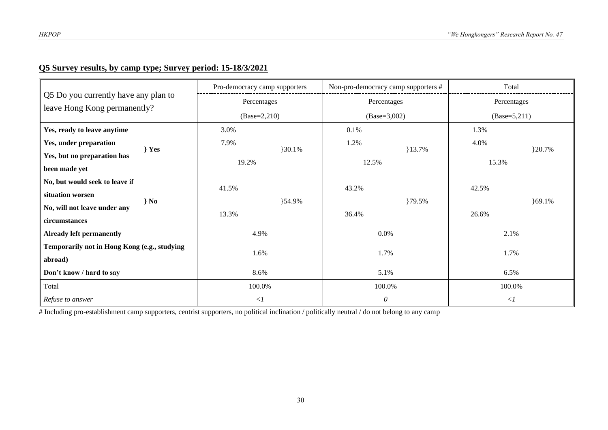## **Q5 Survey results, by camp type; Survey period: 15-18/3/2021**

|                                                                      | Pro-democracy camp supporters | Non-pro-democracy camp supporters # | Total          |  |  |
|----------------------------------------------------------------------|-------------------------------|-------------------------------------|----------------|--|--|
| Q5 Do you currently have any plan to<br>leave Hong Kong permanently? | Percentages                   | Percentages                         | Percentages    |  |  |
|                                                                      | $(Base=2,210)$                | $(Base=3,002)$                      | $(Base=5,211)$ |  |  |
| Yes, ready to leave anytime                                          | 3.0%                          | 0.1%                                | 1.3%           |  |  |
| Yes, under preparation<br>$\}$ Yes                                   | 7.9%<br>}30.1%                | 1.2%<br>13.7%                       | 4.0%<br>320.7% |  |  |
| Yes, but no preparation has                                          | 19.2%                         | 12.5%                               | 15.3%          |  |  |
| been made yet                                                        |                               |                                     |                |  |  |
| No, but would seek to leave if                                       | 41.5%                         | 43.2%                               | 42.5%          |  |  |
| situation worsen<br>$\}$ No                                          | }54.9%                        | }79.5%                              | ${69.1\%}$     |  |  |
| No, will not leave under any                                         | 13.3%                         | 36.4%                               | 26.6%          |  |  |
| circumstances                                                        |                               |                                     |                |  |  |
| <b>Already left permanently</b>                                      | 4.9%                          | $0.0\%$                             | 2.1%           |  |  |
| Temporarily not in Hong Kong (e.g., studying                         | 1.6%                          | 1.7%                                | 1.7%           |  |  |
| abroad)                                                              |                               |                                     |                |  |  |
| Don't know / hard to say                                             | 8.6%                          | 5.1%                                | 6.5%           |  |  |
| Total                                                                | 100.0%                        | 100.0%                              | 100.0%         |  |  |
| Refuse to answer                                                     | $\langle$ 1                   | $\boldsymbol{\theta}$               | $\langle$ 1    |  |  |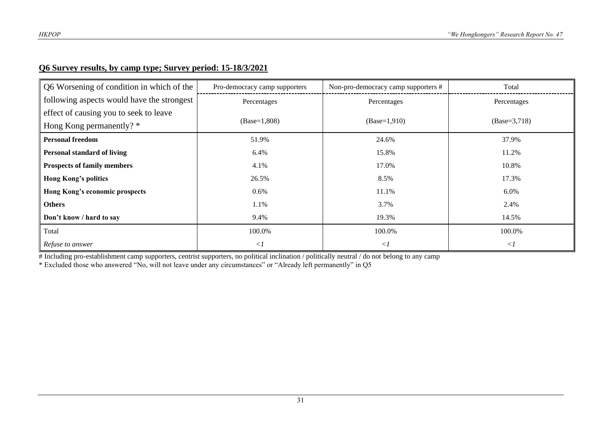#### **Q6 Survey results, by camp type; Survey period: 15-18/3/2021**

| Q6 Worsening of condition in which of the  | Pro-democracy camp supporters | Non-pro-democracy camp supporters # | Total          |
|--------------------------------------------|-------------------------------|-------------------------------------|----------------|
| following aspects would have the strongest | Percentages                   | Percentages                         | Percentages    |
| effect of causing you to seek to leave     |                               |                                     |                |
| Hong Kong permanently? *                   | $(Base=1,808)$                | $(Base=1,910)$                      | $(Base=3,718)$ |
| <b>Personal freedom</b>                    | 51.9%                         | 24.6%                               | 37.9%          |
| <b>Personal standard of living</b>         | 6.4%                          | 15.8%                               | 11.2%          |
| <b>Prospects of family members</b>         | 4.1%                          | 17.0%                               | 10.8%          |
| <b>Hong Kong's politics</b>                | 26.5%                         | 8.5%                                | 17.3%          |
| Hong Kong's economic prospects             | 0.6%                          | 11.1%                               | $6.0\%$        |
| <b>Others</b>                              | 1.1%                          | 3.7%                                | 2.4%           |
| Don't know / hard to say                   | 9.4%                          | 19.3%                               | 14.5%          |
| Total                                      | 100.0%                        | 100.0%                              | 100.0%         |
| Refuse to answer                           | $\langle$                     | $\langle$ 1                         | $\langle$      |

# Including pro-establishment camp supporters, centrist supporters, no political inclination / politically neutral / do not belong to any camp

\* Excluded those who answered "No, will not leave under any circumstances" or "Already left permanently" in Q5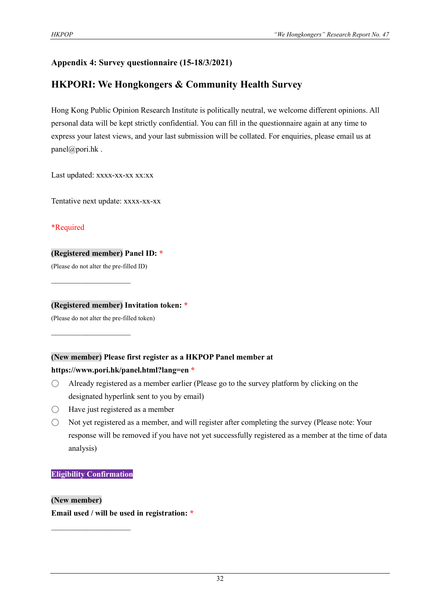#### **Appendix 4: Survey questionnaire (15-18/3/2021)**

## **HKPORI: We Hongkongers & Community Health Survey**

Hong Kong Public Opinion Research Institute is politically neutral, we welcome different opinions. All personal data will be kept strictly confidential. You can fill in the questionnaire again at any time to express your latest views, and your last submission will be collated. For enquiries, please email us at panel@pori.hk .

Last updated: xxxx-xx-xx xx:xx

Tentative next update: xxxx-xx-xx

\*Required

#### **(Registered member) Panel ID: \***

(Please do not alter the pre-filled ID)

 $\mathcal{L}_\text{max}$  , where  $\mathcal{L}_\text{max}$ 

 $\mathcal{L}_\text{max}$  , where  $\mathcal{L}_\text{max}$ 

#### **(Registered member) Invitation token: \***

(Please do not alter the pre-filled token)

#### **(New member) Please first register as a HKPOP Panel member at**

#### **https://www.pori.hk/panel.html?lang=en \***

- $\bigcirc$  Already registered as a member earlier (Please go to the survey platform by clicking on the designated hyperlink sent to you by email)
- $\bigcirc$  Have just registered as a member
- Not yet registered as a member, and will register after completing the survey (Please note: Your response will be removed if you have not yet successfully registered as a member at the time of data analysis)

#### **Eligibility Confirmation**

 $\mathcal{L}_\text{max}$ 

**(New member) Email used / will be used in registration: \***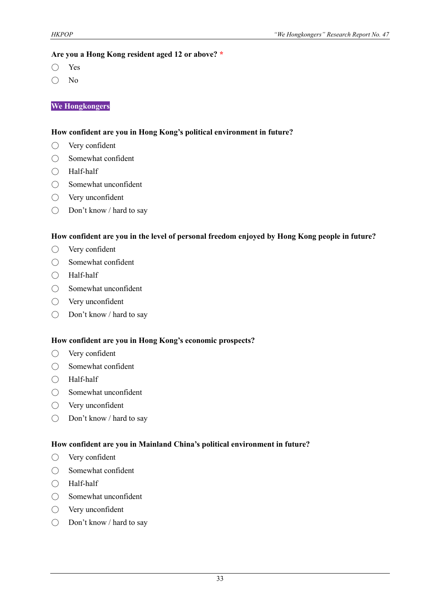#### **Are you a Hong Kong resident aged 12 or above? \***

- Yes
- No

#### **We Hongkongers**

#### **How confident are you in Hong Kong's political environment in future?**

- Very confident
- Somewhat confident
- Half-half
- Somewhat unconfident
- Very unconfident
- Don't know / hard to say

#### **How confident are you in the level of personal freedom enjoyed by Hong Kong people in future?**

- Very confident
- Somewhat confident
- Half-half
- Somewhat unconfident
- Very unconfident
- Don't know / hard to say

#### **How confident are you in Hong Kong's economic prospects?**

- Very confident
- Somewhat confident
- Half-half
- Somewhat unconfident
- Very unconfident
- Don't know / hard to say

#### **How confident are you in Mainland China's political environment in future?**

- Very confident
- Somewhat confident
- Half-half
- Somewhat unconfident
- Very unconfident
- Don't know / hard to say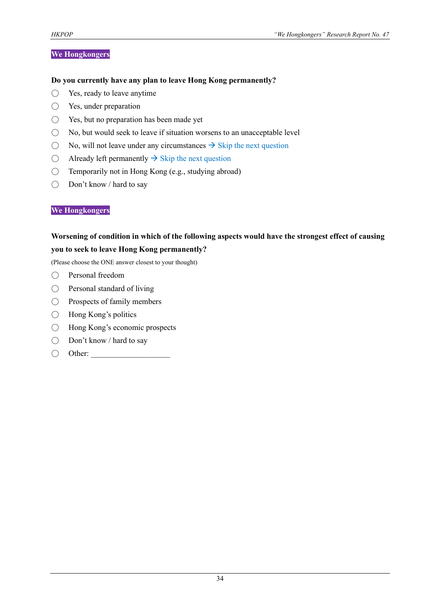#### **We Hongkongers**

#### **Do you currently have any plan to leave Hong Kong permanently?**

- Yes, ready to leave anytime
- Yes, under preparation
- Yes, but no preparation has been made yet
- $\bigcirc$  No, but would seek to leave if situation worsens to an unacceptable level
- $\bigcirc$  No, will not leave under any circumstances  $\rightarrow$  Skip the next question
- $\bigcirc$  Already left permanently  $\rightarrow$  Skip the next question
- $\bigcirc$  Temporarily not in Hong Kong (e.g., studying abroad)
- Don't know / hard to say

#### **We Hongkongers**

#### **Worsening of condition in which of the following aspects would have the strongest effect of causing you to seek to leave Hong Kong permanently?**

(Please choose the ONE answer closest to your thought)

- Personal freedom
- Personal standard of living
- Prospects of family members
- Hong Kong's politics
- Hong Kong's economic prospects
- Don't know / hard to say
- $\bigcirc$  Other: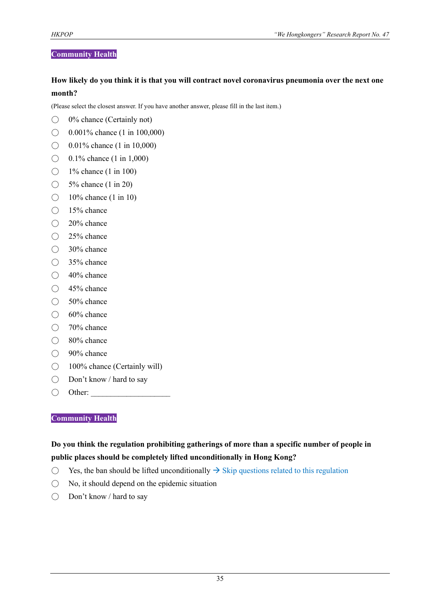#### **Community Health**

#### **How likely do you think it is that you will contract novel coronavirus pneumonia over the next one month?**

(Please select the closest answer. If you have another answer, please fill in the last item.)

- $\bigcirc$  0% chance (Certainly not)
- $\bigcirc$  0.001% chance (1 in 100,000)
- $\bigcirc$  0.01% chance (1 in 10,000)
- $\bigcirc$  0.1% chance (1 in 1,000)
- $\bigcirc$  1% chance (1 in 100)
- $\bigcirc$  5% chance (1 in 20)
- $\bigcirc$  10% chance (1 in 10)
- 15% chance
- 20% chance
- 25% chance
- 30% chance
- 35% chance
- $\bigcirc$  40% chance
- 45% chance
- 50% chance
- 60% chance
- 70% chance
- 80% chance
- 90% chance
- 100% chance (Certainly will)
- Don't know / hard to say
- $\bigcirc$  Other:

#### **Community Health**

#### **Do you think the regulation prohibiting gatherings of more than a specific number of people in public places should be completely lifted unconditionally in Hong Kong?**

- $\bigcirc$  Yes, the ban should be lifted unconditionally  $\rightarrow$  Skip questions related to this regulation
- $\bigcirc$  No, it should depend on the epidemic situation
- Don't know / hard to say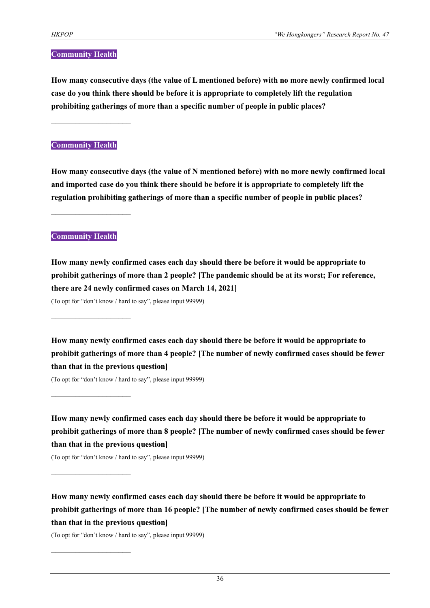#### **Community Health**

**How many consecutive days (the value of L mentioned before) with no more newly confirmed local case do you think there should be before it is appropriate to completely lift the regulation prohibiting gatherings of more than a specific number of people in public places?**

#### **Community Health**

 $\mathcal{L}_\text{max}$  , where  $\mathcal{L}_\text{max}$ 

**How many consecutive days (the value of N mentioned before) with no more newly confirmed local and imported case do you think there should be before it is appropriate to completely lift the regulation prohibiting gatherings of more than a specific number of people in public places?**

#### **Community Health**

 $\mathcal{L}_\text{max}$ 

 $\mathcal{L}_\text{max}$ 

 $\mathcal{L}_\text{max}$ 

 $\mathcal{L}_\text{max}$  , where  $\mathcal{L}_\text{max}$ 

**How many newly confirmed cases each day should there be before it would be appropriate to prohibit gatherings of more than 2 people? [The pandemic should be at its worst; For reference, there are 24 newly confirmed cases on March 14, 2021]**

(To opt for "don't know / hard to say", please input 99999)

**How many newly confirmed cases each day should there be before it would be appropriate to prohibit gatherings of more than 4 people? [The number of newly confirmed cases should be fewer than that in the previous question]**

(To opt for "don't know / hard to say", please input 99999)

**How many newly confirmed cases each day should there be before it would be appropriate to prohibit gatherings of more than 8 people? [The number of newly confirmed cases should be fewer than that in the previous question]**

(To opt for "don't know / hard to say", please input 99999)

**How many newly confirmed cases each day should there be before it would be appropriate to prohibit gatherings of more than 16 people? [The number of newly confirmed cases should be fewer than that in the previous question]**

(To opt for "don't know / hard to say", please input 99999)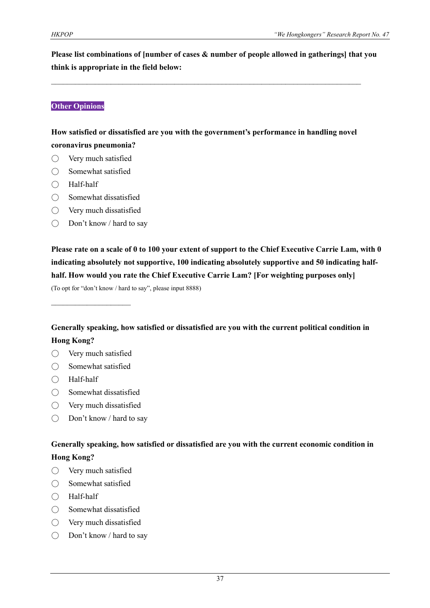**Please list combinations of [number of cases & number of people allowed in gatherings] that you think is appropriate in the field below:**

#### **Other Opinions**

#### **How satisfied or dissatisfied are you with the government's performance in handling novel coronavirus pneumonia?**

 $\mathcal{L}_\text{max}$  and  $\mathcal{L}_\text{max}$  and  $\mathcal{L}_\text{max}$  and  $\mathcal{L}_\text{max}$  and  $\mathcal{L}_\text{max}$  and  $\mathcal{L}_\text{max}$ 

- $\bigcirc$  Very much satisfied
- Somewhat satisfied
- Half-half
- Somewhat dissatisfied
- Very much dissatisfied
- Don't know / hard to say

**Please rate on a scale of 0 to 100 your extent of support to the Chief Executive Carrie Lam, with 0 indicating absolutely not supportive, 100 indicating absolutely supportive and 50 indicating halfhalf. How would you rate the Chief Executive Carrie Lam? [For weighting purposes only]** (To opt for "don't know / hard to say", please input 8888)

 $\mathcal{L}_\text{max}$ 

**Generally speaking, how satisfied or dissatisfied are you with the current political condition in Hong Kong?**

- Very much satisfied
- Somewhat satisfied
- Half-half
- Somewhat dissatisfied
- Very much dissatisfied
- Don't know / hard to say

#### **Generally speaking, how satisfied or dissatisfied are you with the current economic condition in Hong Kong?**

- Very much satisfied
- Somewhat satisfied
- Half-half
- Somewhat dissatisfied
- Very much dissatisfied
- Don't know / hard to say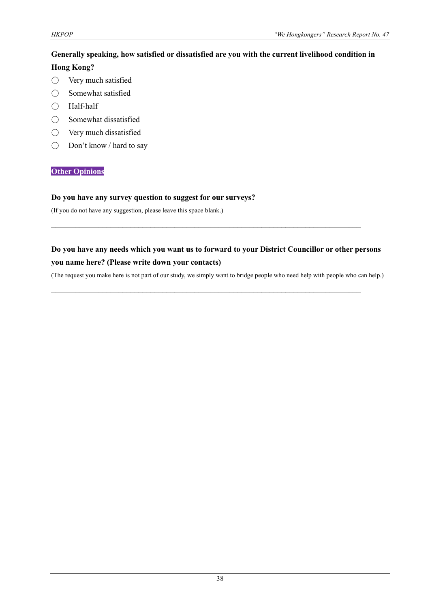#### **Generally speaking, how satisfied or dissatisfied are you with the current livelihood condition in Hong Kong?**

- Very much satisfied
- Somewhat satisfied
- Half-half
- Somewhat dissatisfied
- Very much dissatisfied
- Don't know / hard to say

#### **Other Opinions**

#### **Do you have any survey question to suggest for our surveys?**

(If you do not have any suggestion, please leave this space blank.)

#### **Do you have any needs which you want us to forward to your District Councillor or other persons you name here? (Please write down your contacts)**

 $\mathcal{L}_\mathcal{L} = \{ \mathcal{L}_\mathcal{L} = \{ \mathcal{L}_\mathcal{L} = \{ \mathcal{L}_\mathcal{L} = \{ \mathcal{L}_\mathcal{L} = \{ \mathcal{L}_\mathcal{L} = \{ \mathcal{L}_\mathcal{L} = \{ \mathcal{L}_\mathcal{L} = \{ \mathcal{L}_\mathcal{L} = \{ \mathcal{L}_\mathcal{L} = \{ \mathcal{L}_\mathcal{L} = \{ \mathcal{L}_\mathcal{L} = \{ \mathcal{L}_\mathcal{L} = \{ \mathcal{L}_\mathcal{L} = \{ \mathcal{L}_\mathcal{$ 

 $\mathcal{L}_\mathcal{L} = \{ \mathcal{L}_\mathcal{L} = \{ \mathcal{L}_\mathcal{L} = \{ \mathcal{L}_\mathcal{L} = \{ \mathcal{L}_\mathcal{L} = \{ \mathcal{L}_\mathcal{L} = \{ \mathcal{L}_\mathcal{L} = \{ \mathcal{L}_\mathcal{L} = \{ \mathcal{L}_\mathcal{L} = \{ \mathcal{L}_\mathcal{L} = \{ \mathcal{L}_\mathcal{L} = \{ \mathcal{L}_\mathcal{L} = \{ \mathcal{L}_\mathcal{L} = \{ \mathcal{L}_\mathcal{L} = \{ \mathcal{L}_\mathcal{$ 

(The request you make here is not part of our study, we simply want to bridge people who need help with people who can help.)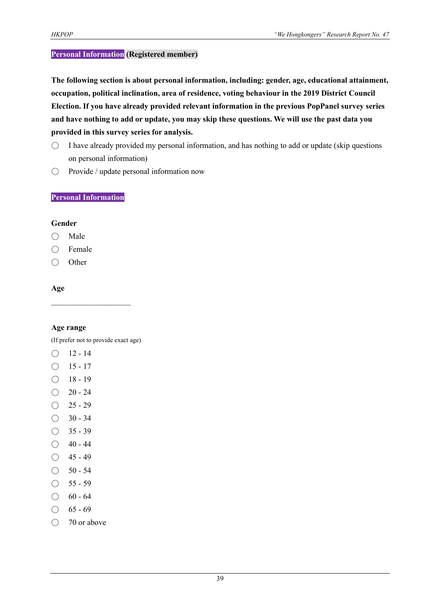#### **Personal Information (Registered member)**

**The following section is about personal information, including: gender, age, educational attainment, occupation, political inclination, area of residence, voting behaviour in the 2019 District Council Election. If you have already provided relevant information in the previous PopPanel survey series and have nothing to add or update, you may skip these questions. We will use the past data you provided in this survey series for analysis.**

- $\bigcirc$  I have already provided my personal information, and has nothing to add or update (skip questions on personal information)
- Provide / update personal information now

#### **Personal Information**

#### **Gender**

- Male
- Female
- Other

#### **Age**

#### **Age range**

(If prefer not to provide exact age)

 $\mathcal{L}_\text{max}$ 

- $O$  12 14
- $O$  15 17
- $\bigcirc$  18 19
- $\bigcirc$  20 24
- $\bigcirc$  25 29
- $\bigcirc$  30 34
- $\bigcirc$  35 39
- $\bigcirc$  40 44
- $O$  45 49
- $\bigcirc$  50 54
- $\bigcirc$  55 59
- $\bigcirc$  60 64
- $\bigcirc$  65 69
- 70 or above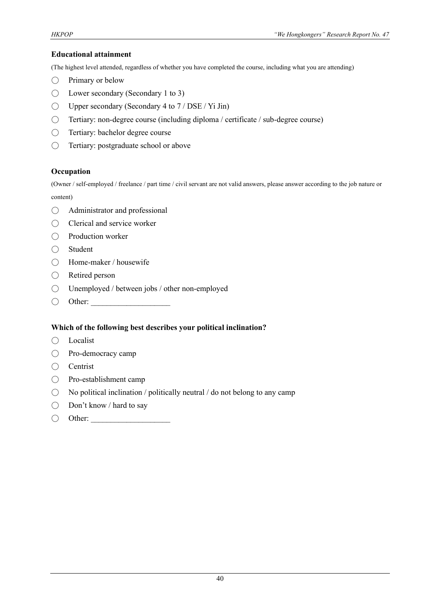#### **Educational attainment**

(The highest level attended, regardless of whether you have completed the course, including what you are attending)

- Primary or below
- Lower secondary (Secondary 1 to 3)
- $\bigcirc$  Upper secondary (Secondary 4 to 7 / DSE / Yi Jin)
- Tertiary: non-degree course (including diploma / certificate / sub-degree course)
- Tertiary: bachelor degree course
- Tertiary: postgraduate school or above

#### **Occupation**

(Owner / self-employed / freelance / part time / civil servant are not valid answers, please answer according to the job nature or content)

- Administrator and professional
- Clerical and service worker
- Production worker
- Student
- Home-maker / housewife
- Retired person
- Unemployed / between jobs / other non-employed
- $\bigcirc$  Other:

#### **Which of the following best describes your political inclination?**

- Localist
- Pro-democracy camp
- Centrist
- Pro-establishment camp
- $\bigcirc$  No political inclination / politically neutral / do not belong to any camp
- Don't know / hard to say
- $\bigcirc$  Other: